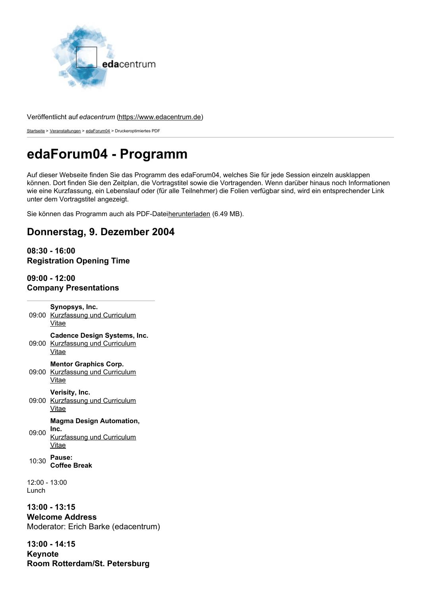

#### Veröffentlicht auf *edacentrum* [\(https://www.edacentrum.de](https://www.edacentrum.de))

[Startseite](https://www.edacentrum.de/) > [Veranstaltungen](https://www.edacentrum.de/veranstaltungen) > [edaForum04](https://www.edacentrum.de/events/edaforum/2004) > Druckeroptimiertes PDF

# **edaForum04 - Programm**

Auf dieser Webseite finden Sie das Programm des edaForum04, welches Sie für jede Session einzeln ausklappen können. Dort finden Sie den Zeitplan, die Vortragstitel sowie die Vortragenden. Wenn darüber hinaus noch Informationen wie eine Kurzfassung, ein Lebenslauf oder (für alle Teilnehmer) die Folien verfügbar sind, wird ein entsprechender Link unter dem Vortragstitel angezeigt.

Sie können das Programm auch als PDF-Datei[herunterladen](https://www.edacentrum.de/system/files/files/edaforum/2004/edaForum04-prog-screen.pdf) (6.49 MB).

# **Donnerstag, 9. Dezember 2004**

# **08:30 - 16:00 Registration Opening Time**

## **09:00 - 12:00 Company Presentations**

09:00 [Kurzfassung](https://www.edacentrum.de/synopsys-inc) und Curriculum **Synopsys, Inc.** Vitae 09:00 [Kurzfassung](https://www.edacentrum.de/cadence-design-systems-inc) und Curriculum **Cadence Design Systems, Inc.** Vitae 09:00 [Kurzfassung](https://www.edacentrum.de/mentor-graphics-corp) und Curriculum **Mentor Graphics Corp. Vitae** 09:00 [Kurzfassung](https://www.edacentrum.de/edaforum03) und Curriculum **Verisity, Inc.** Vitae 09:00 **Inc. Magma Design Automation,** [Kurzfassung](https://www.edacentrum.de/magma-design-automation-inc) und Curriculum Vitae 10:30 **Pause: Coffee Break** 12:00 - 13:00 Lunch **13:00 - 13:15 Welcome Address** Moderator: Erich Barke (edacentrum)

**13:00 - 14:15 Keynote Room Rotterdam/St. Petersburg**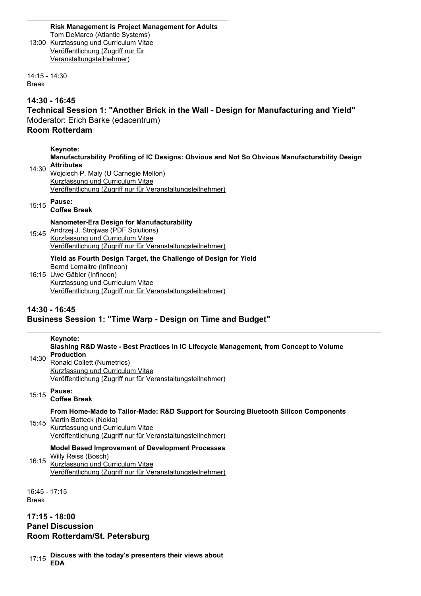#### 13:00 [Kurzfassung](https://www.edacentrum.de/risk-management-project-management-adults) und Curriculum Vitae **Risk Management is Project Management for Adults** Tom DeMarco (Atlantic Systems)

Veröffentlichung (Zugriff nur für [Veranstaltungsteilnehmer\)](https://www.edacentrum.de/system/files/files/edaforum/2004/presentations/demarco.pdf)

14:15 - 14:30 Break

# **14:30 - 16:45**

### **Technical Session 1: "Another Brick in the Wall - Design for Manufacturing and Yield"** Moderator: Erich Barke (edacentrum) **Room Rotterdam**

#### **Keynote:**

#### **Manufacturability Profiling of IC Designs: Obvious and Not So Obvious Manufacturability Design Attributes**

14:30 Wojciech P. Maly (U Carnegie Mellon) [Kurzfassung](https://www.edacentrum.de/manufacturability-profiling-ic-designs-obvious-and-not-so-obvious-manufacturability-design-a) und Curriculum Vitae Veröffentlichung (Zugriff nur für [Veranstaltungsteilnehmer\)](https://www.edacentrum.de/system/files/files/edaforum/2004/presentations/maly.pdf)

#### 15:15 **Pause:**

# **Coffee Break**

### **Nanometer-Era Design for Manufacturability**

15:45 Andrzej J. Strojwas (PDF Solutions) [Kurzfassung](https://www.edacentrum.de/nanometer-era-design-manufacturability) und Curriculum Vitae Veröffentlichung (Zugriff nur für [Veranstaltungsteilnehmer\)](https://www.edacentrum.de/system/files/files/edaforum/2004/presentations/guardiani.pdf)

### **Yield as Fourth Design Target, the Challenge of Design for Yield** Bernd Lemaitre (Infineon)

16:15 Uwe Gäbler (Infineon) [Kurzfassung](https://www.edacentrum.de/yield-fourth-design-target-challenge-design-yield) und Curriculum Vitae Veröffentlichung (Zugriff nur für [Veranstaltungsteilnehmer\)](https://www.edacentrum.de/system/files/files/edaforum/2004/presentations/lemaitre-gaebler.pdf)

# **14:30 - 16:45 Business Session 1: "Time Warp - Design on Time and Budget"**

# **Keynote:**

#### 14:30 **Slashing R&D Waste - Best Practices in IC Lifecycle Management, from Concept to Volume Production**

Ronald Collett (Numetrics) [Kurzfassung](https://www.edacentrum.de/slashing-rd-waste-best-practices-ic-lifecycle-management-concept-volume-production) und Curriculum Vitae Veröffentlichung (Zugriff nur für [Veranstaltungsteilnehmer\)](https://www.edacentrum.de/system/files/files/edaforum/2004/presentations/collett.pdf)

# 15:15 **Pause:**

# **Coffee Break**

# **From Home-Made to Tailor-Made: R&D Support for Sourcing Bluetooth Silicon Components**

15:45 Martin Botteck (Nokia) [Kurzfassung](https://www.edacentrum.de/home-made-tailor-made-rd-support-sourcing-bluetooth-silicon-components) und Curriculum Vitae Veröffentlichung (Zugriff nur für [Veranstaltungsteilnehmer\)](https://www.edacentrum.de/system/files/files/edaforum/2004/presentations/botteck.pdf)

# **Model Based Improvement of Development Processes**

16:15 [Kurzfassung](https://www.edacentrum.de/model-based-improvement-development-processes) und Curriculum Vitae Willy Reiss (Bosch) Veröffentlichung (Zugriff nur für [Veranstaltungsteilnehmer\)](https://www.edacentrum.de/system/files/files/edaforum/2004/presentations/reiss.pdf)

16:45 - 17:15 Break

**17:15 - 18:00 Panel Discussion Room Rotterdam/St. Petersburg**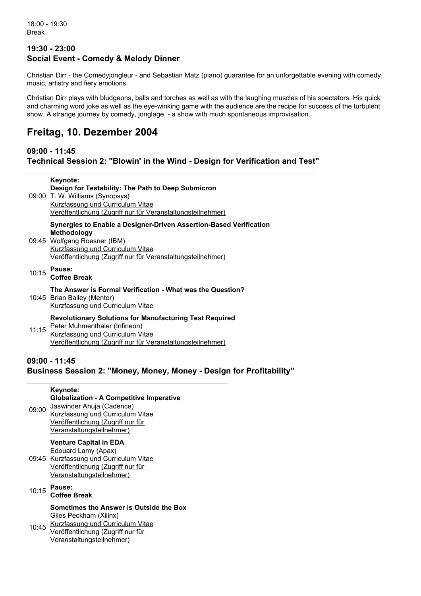### **19:30 - 23:00 Social Event - Comedy & Melody Dinner**

Christian Dirr - the Comedyjongleur - and Sebastian Matz (piano) guarantee for an unforgettable evening with comedy, music, artistry and fiery emotions.

Christian Dirr plays with bludgeons, balls and torches as well as with the laughing muscles of his spectators. His quick and charming word joke as well as the eye-winking game with the audience are the recipe for success of the turbulent show. A strange journey by comedy, jonglage, - a show with much spontaneous improvisation.

# **Freitag, 10. Dezember 2004**

# **09:00 - 11:45**

**Technical Session 2: "Blowin' in the Wind - Design for Verification and Test"**

|       | Keynote:<br>Design for Testability: The Path to Deep Submicron<br>09:00 T. W. Williams (Synopsys)<br>Kurzfassung und Curriculum Vitae<br>Veröffentlichung (Zugriff nur für Veranstaltungsteilnehmer)                        |
|-------|-----------------------------------------------------------------------------------------------------------------------------------------------------------------------------------------------------------------------------|
|       | Synergies to Enable a Designer-Driven Assertion-Based Verification<br><b>Methodology</b><br>09:45 Wolfgang Roesner (IBM)<br>Kurzfassung und Curriculum Vitae<br>Veröffentlichung (Zugriff nur für Veranstaltungsteilnehmer) |
|       | 10:15 Pause:<br><b>Coffee Break</b>                                                                                                                                                                                         |
|       | The Answer is Formal Verification - What was the Question?<br>10:45 Brian Bailey (Mentor)<br>Kurzfassung und Curriculum Vitae                                                                                               |
| 11:15 | <b>Revolutionary Solutions for Manufacturing Test Required</b><br>Peter Muhmenthaler (Infineon)<br>Kurzfassung und Curriculum Vitae<br><u>Veröffentlichung (Zugriff nur für Veranstaltungsteilnehmer)</u>                   |

# **09:00 - 11:45 Business Session 2: "Money, Money, Money - Design for Profitability"**

## 09:00 Jaswinder Ahuja (Cadence) **Keynote: Globalization - A Competitive Imperative** [Kurzfassung](https://www.edacentrum.de/globalization-competitive-imperative) und Curriculum Vitae Veröffentlichung (Zugriff nur für [Veranstaltungsteilnehmer\)](https://www.edacentrum.de/system/files/files/edaforum/2004/presentations/ahuja.pdf) 09:45 [Kurzfassung](https://www.edacentrum.de/venture-capital-eda) und Curriculum Vitae **Venture Capital in EDA** Edouard Lamy (Apax) Veröffentlichung (Zugriff nur für [Veranstaltungsteilnehmer\)](https://www.edacentrum.de/system/files/files/edaforum/2004/presentations/lamy.pdf) 10:15 **Pause: Coffee Break** 10:45 [Kurzfassung](https://www.edacentrum.de/sometimes-answer-outside-box) und Curriculum Vitae **Sometimes the Answer is Outside the Box** Giles Peckham (Xilinx) Veröffentlichung (Zugriff nur für [Veranstaltungsteilnehmer\)](https://www.edacentrum.de/system/files/files/edaforum/2004/presentations/peckham.pdf)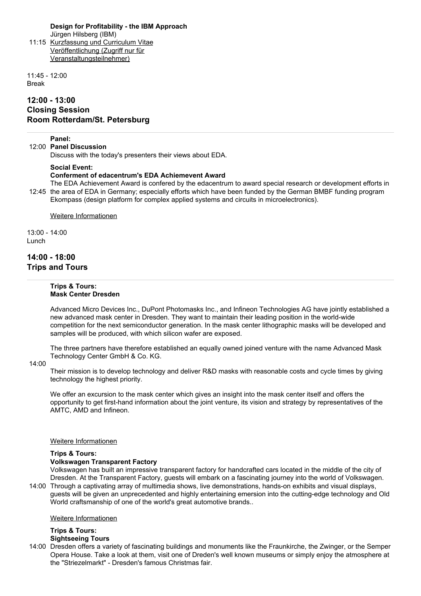#### **Design for Profitability - the IBM Approach**

11:15 [Kurzfassung](https://www.edacentrum.de/design-profitability-ibm-approach) und Curriculum Vitae Jürgen Hilsberg (IBM) Veröffentlichung (Zugriff nur für [Veranstaltungsteilnehmer\)](https://www.edacentrum.de/system/files/files/edaforum/2004/presentations/hilsberg.pdf)

11:45 - 12:00 Break

## **12:00 - 13:00 Closing Session Room Rotterdam/St. Petersburg**

#### **Panel:**

12:00 **Panel Discussion**

Discuss with the today's presenters their views about EDA.

#### **Social Event:**

#### **Conferment of edacentrum's EDA Achiemevent Award**

12:45 the area of EDA in Germany; especially efforts which have been funded by the German BMBF funding program The EDA Achievement Award is confered by the edacentrum to award special research or development efforts in Ekompass (design platform for complex applied systems and circuits in microelectronics).

Weitere [Informationen](https://www.edacentrum.de/eda-netzwerke/auszeichnungen)

13:00 - 14:00 Lunch

### **14:00 - 18:00 Trips and Tours**

#### **Trips & Tours: Mask Center Dresden**

Advanced Micro Devices Inc., DuPont Photomasks Inc., and Infineon Technologies AG have jointly established a new advanced mask center in Dresden. They want to maintain their leading position in the world-wide competition for the next semiconductor generation. In the mask center lithographic masks will be developed and samples will be produced, with which silicon wafer are exposed.

The three partners have therefore established an equally owned joined venture with the name Advanced Mask Technology Center GmbH & Co. KG.

#### 14:00

Their mission is to develop technology and deliver R&D masks with reasonable costs and cycle times by giving technology the highest priority.

We offer an excursion to the mask center which gives an insight into the mask center itself and offers the opportunity to get first-hand information about the joint venture, its vision and strategy by representatives of the AMTC, AMD and Infineon.

#### Weitere [Informationen](http://www.amtc-dresden.de/)

#### **Trips & Tours:**

#### **Volkswagen Transparent Factory**

World craftsmanship of one of the world's great automotive brands..

14:00 Through a captivating array of multimedia shows, live demonstrations, hands-on exhibits and visual displays, Volkswagen has built an impressive transparent factory for handcrafted cars located in the middle of the city of Dresden. At the Transparent Factory, guests will embark on a fascinating journey into the world of Volkswagen. guests will be given an unprecedented and highly entertaining emersion into the cutting-edge technology and Old

#### Weitere [Informationen](http://www.glaesernemanufaktur.de/)

#### **Trips & Tours: Sightseeing Tours**

14:00 Dresden offers a variety of fascinating buildings and monuments like the Fraunkirche, the Zwinger, or the Semper Opera House. Take a look at them, visit one of Dreden's well known museums or simply enjoy the atmosphere at the "Striezelmarkt" - Dresden's famous Christmas fair.